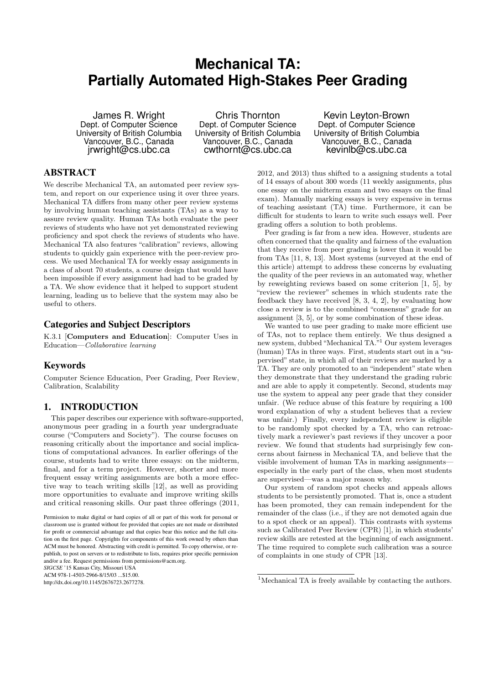# **Mechanical TA: Partially Automated High-Stakes Peer Grading**

James R. Wright Dept. of Computer Science University of British Columbia Vancouver, B.C., Canada jrwright@cs.ubc.ca

Chris Thornton Dept. of Computer Science University of British Columbia Vancouver, B.C., Canada cwthornt@cs.ubc.ca

Kevin Leyton-Brown Dept. of Computer Science University of British Columbia Vancouver, B.C., Canada kevinlb@cs.ubc.ca

# ABSTRACT

We describe Mechanical TA, an automated peer review system, and report on our experience using it over three years. Mechanical TA differs from many other peer review systems by involving human teaching assistants (TAs) as a way to assure review quality. Human TAs both evaluate the peer reviews of students who have not yet demonstrated reviewing proficiency and spot check the reviews of students who have. Mechanical TA also features "calibration" reviews, allowing students to quickly gain experience with the peer-review process. We used Mechanical TA for weekly essay assignments in a class of about 70 students, a course design that would have been impossible if every assignment had had to be graded by a TA. We show evidence that it helped to support student learning, leading us to believe that the system may also be useful to others.

# Categories and Subject Descriptors

K.3.1 [Computers and Education]: Computer Uses in Education—Collaborative learning

## Keywords

Computer Science Education, Peer Grading, Peer Review, Calibration, Scalability

# 1. INTRODUCTION

This paper describes our experience with software-supported, anonymous peer grading in a fourth year undergraduate course ("Computers and Society"). The course focuses on reasoning critically about the importance and social implications of computational advances. In earlier offerings of the course, students had to write three essays: on the midterm, final, and for a term project. However, shorter and more frequent essay writing assignments are both a more effective way to teach writing skills [12], as well as providing more opportunities to evaluate and improve writing skills and critical reasoning skills. Our past three offerings (2011,

Permission to make digital or hard copies of all or part of this work for personal or classroom use is granted without fee provided that copies are not made or distributed for profit or commercial advantage and that copies bear this notice and the full citation on the first page. Copyrights for components of this work owned by others than ACM must be honored. Abstracting with credit is permitted. To copy otherwise, or republish, to post on servers or to redistribute to lists, requires prior specific permission and/or a fee. Request permissions from permissions@acm.org. *SIGCSE* '15 Kansas City, Missouri USA

ACM 978-1-4503-2966-8/15/03 \$15.00

http://dx.doi.org/10.1145/2676723.2677278.

2012, and 2013) thus shifted to a assigning students a total of 14 essays of about 300 words (11 weekly assignments, plus one essay on the midterm exam and two essays on the final exam). Manually marking essays is very expensive in terms of teaching assistant (TA) time. Furthermore, it can be difficult for students to learn to write such essays well. Peer grading offers a solution to both problems.

Peer grading is far from a new idea. However, students are often concerned that the quality and fairness of the evaluation that they receive from peer grading is lower than it would be from TAs [11, 8, 13]. Most systems (surveyed at the end of this article) attempt to address these concerns by evaluating the quality of the peer reviews in an automated way, whether by reweighting reviews based on some criterion [1, 5], by "review the reviewer" schemes in which students rate the feedback they have received [8, 3, 4, 2], by evaluating how close a review is to the combined "consensus" grade for an assignment [3, 5], or by some combination of these ideas.

We wanted to use peer grading to make more efficient use of TAs, not to replace them entirely. We thus designed a new system, dubbed "Mechanical TA."<sup>1</sup> Our system leverages (human) TAs in three ways. First, students start out in a "supervised" state, in which all of their reviews are marked by a TA. They are only promoted to an "independent" state when they demonstrate that they understand the grading rubric and are able to apply it competently. Second, students may use the system to appeal any peer grade that they consider unfair. (We reduce abuse of this feature by requiring a 100 word explanation of why a student believes that a review was unfair.) Finally, every independent review is eligible to be randomly spot checked by a TA, who can retroactively mark a reviewer's past reviews if they uncover a poor review. We found that students had surprisingly few concerns about fairness in Mechanical TA, and believe that the visible involvement of human TAs in marking assignments especially in the early part of the class, when most students are supervised—was a major reason why.

Our system of random spot checks and appeals allows students to be persistently promoted. That is, once a student has been promoted, they can remain independent for the remainder of the class (i.e., if they are not demoted again due to a spot check or an appeal). This contrasts with systems such as Calibrated Peer Review (CPR) [1], in which students' review skills are retested at the beginning of each assignment. The time required to complete such calibration was a source of complaints in one study of CPR [13].

 $^{1}$  Mechanical TA is freely available by contacting the authors.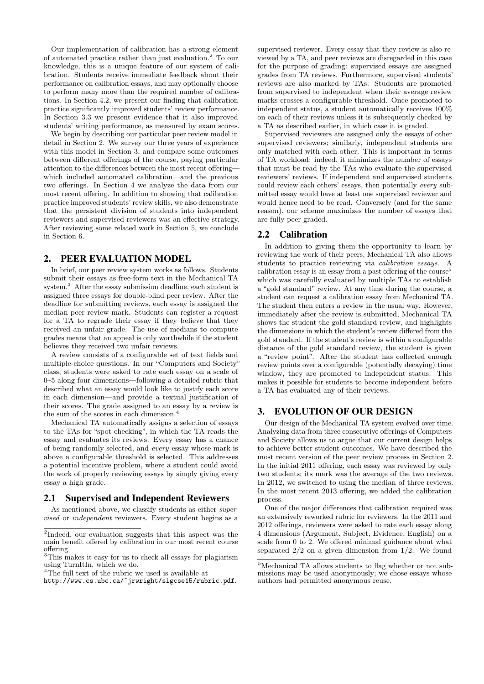Our implementation of calibration has a strong element of automated practice rather than just evaluation.<sup>2</sup> To our knowledge, this is a unique feature of our system of calibration. Students receive immediate feedback about their performance on calibration essays, and may optionally choose to perform many more than the required number of calibrations. In Section 4.2, we present our finding that calibration practice significantly improved students' review performance. In Section 3.3 we present evidence that it also improved students' writing performance, as measured by exam scores.

We begin by describing our particular peer review model in detail in Section 2. We survey our three years of experience with this model in Section 3, and compare some outcomes between different offerings of the course, paying particular attention to the differences between the most recent offering which included automated calibration—and the previous two offerings. In Section 4 we analyze the data from our most recent offering. In addition to showing that calibration practice improved students' review skills, we also demonstrate that the persistent division of students into independent reviewers and supervised reviewers was an effective strategy. After reviewing some related work in Section 5, we conclude in Section 6.

## 2. PEER EVALUATION MODEL

In brief, our peer review system works as follows. Students submit their essays as free-form text in the Mechanical TA system.<sup>3</sup> After the essay submission deadline, each student is assigned three essays for double-blind peer review. After the deadline for submitting reviews, each essay is assigned the median peer-review mark. Students can register a request for a TA to regrade their essay if they believe that they received an unfair grade. The use of medians to compute grades means that an appeal is only worthwhile if the student believes they received two unfair reviews.

A review consists of a configurable set of text fields and multiple-choice questions. In our "Computers and Society" class, students were asked to rate each essay on a scale of 0–5 along four dimensions—following a detailed rubric that described what an essay would look like to justify each score in each dimension—and provide a textual justification of their scores. The grade assigned to an essay by a review is the sum of the scores in each dimension.<sup>4</sup>

Mechanical TA automatically assigns a selection of essays to the TAs for "spot checking", in which the TA reads the essay and evaluates its reviews. Every essay has a chance of being randomly selected, and every essay whose mark is above a configurable threshold is selected. This addresses a potential incentive problem, where a student could avoid the work of properly reviewing essays by simply giving every essay a high grade.

## 2.1 Supervised and Independent Reviewers

As mentioned above, we classify students as either *super*vised or independent reviewers. Every student begins as a supervised reviewer. Every essay that they review is also reviewed by a TA, and peer reviews are disregarded in this case for the purpose of grading: supervised essays are assigned grades from TA reviews. Furthermore, supervised students' reviews are also marked by TAs. Students are promoted from supervised to independent when their average review marks crosses a configurable threshold. Once promoted to independent status, a student automatically receives 100% on each of their reviews unless it is subsequently checked by a TA as described earlier, in which case it is graded.

Supervised reviewers are assigned only the essays of other supervised reviewers; similarly, independent students are only matched with each other. This is important in terms of TA workload: indeed, it minimizes the number of essays that must be read by the TAs who evaluate the supervised reviewers' reviews. If independent and supervised students could review each others' essays, then potentially every submitted essay would have at least one supervised reviewer and would hence need to be read. Conversely (and for the same reason), our scheme maximizes the number of essays that are fully peer graded.

## 2.2 Calibration

In addition to giving them the opportunity to learn by reviewing the work of their peers, Mechanical TA also allows students to practice reviewing via calibration essays. A calibration essay is an essay from a past offering of the course<sup>5</sup> which was carefully evaluated by multiple TAs to establish a "gold standard" review. At any time during the course, a student can request a calibration essay from Mechanical TA. The student then enters a review in the usual way. However, immediately after the review is submitted, Mechanical TA shows the student the gold standard review, and highlights the dimensions in which the student's review differed from the gold standard. If the student's review is within a configurable distance of the gold standard review, the student is given a "review point". After the student has collected enough review points over a configurable (potentially decaying) time window, they are promoted to independent status. This makes it possible for students to become independent before a TA has evaluated any of their reviews.

## 3. EVOLUTION OF OUR DESIGN

Our design of the Mechanical TA system evolved over time. Analyzing data from three consecutive offerings of Computers and Society allows us to argue that our current design helps to achieve better student outcomes. We have described the most recent version of the peer review process in Section 2. In the initial 2011 offering, each essay was reviewed by only two students; its mark was the average of the two reviews. In 2012, we switched to using the median of three reviews. In the most recent 2013 offering, we added the calibration process.

One of the major differences that calibration required was an extensively reworked rubric for reviewers. In the 2011 and 2012 offerings, reviewers were asked to rate each essay along 4 dimensions (Argument, Subject, Evidence, English) on a scale from 0 to 2. We offered minimal guidance about what separated  $2/2$  on a given dimension from  $1/2$ . We found

<sup>&</sup>lt;sup>2</sup>Indeed, our evaluation suggests that this aspect was the main benefit offered by calibration in our most recent course offering.

<sup>&</sup>lt;sup>3</sup>This makes it easy for us to check all essays for plagiarism using TurnItIn, which we do.

<sup>4</sup>The full text of the rubric we used is available at

http://www.cs.ubc.ca/~jrwright/sigcse15/rubric.pdf.

<sup>5</sup>Mechanical TA allows students to flag whether or not submissions may be used anonymously; we chose essays whose authors had permitted anonymous reuse.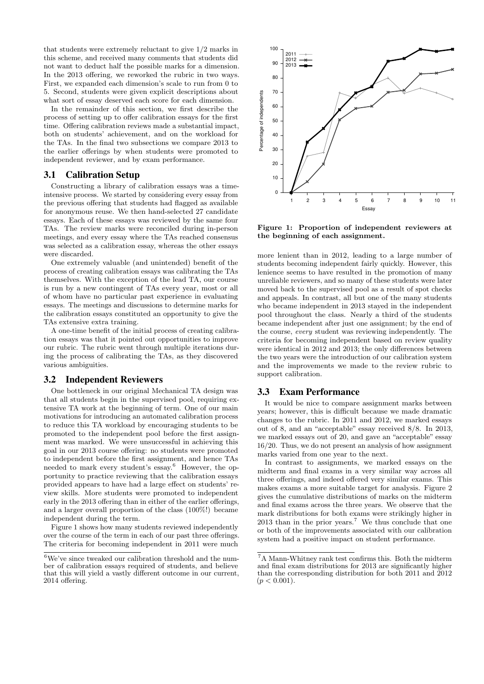that students were extremely reluctant to give 1/2 marks in this scheme, and received many comments that students did not want to deduct half the possible marks for a dimension. In the 2013 offering, we reworked the rubric in two ways. First, we expanded each dimension's scale to run from 0 to 5. Second, students were given explicit descriptions about what sort of essay deserved each score for each dimension.

In the remainder of this section, we first describe the process of setting up to offer calibration essays for the first time. Offering calibration reviews made a substantial impact, both on students' achievement, and on the workload for the TAs. In the final two subsections we compare 2013 to the earlier offerings by when students were promoted to independent reviewer, and by exam performance.

#### 3.1 Calibration Setup

Constructing a library of calibration essays was a timeintensive process. We started by considering every essay from the previous offering that students had flagged as available for anonymous reuse. We then hand-selected 27 candidate essays. Each of these essays was reviewed by the same four TAs. The review marks were reconciled during in-person meetings, and every essay where the TAs reached consensus was selected as a calibration essay, whereas the other essays were discarded.

One extremely valuable (and unintended) benefit of the process of creating calibration essays was calibrating the TAs themselves. With the exception of the lead TA, our course is run by a new contingent of TAs every year, most or all of whom have no particular past experience in evaluating essays. The meetings and discussions to determine marks for the calibration essays constituted an opportunity to give the TAs extensive extra training.

A one-time benefit of the initial process of creating calibration essays was that it pointed out opportunities to improve our rubric. The rubric went through multiple iterations during the process of calibrating the TAs, as they discovered various ambiguities.

#### 3.2 Independent Reviewers

One bottleneck in our original Mechanical TA design was that all students begin in the supervised pool, requiring extensive TA work at the beginning of term. One of our main motivations for introducing an automated calibration process to reduce this TA workload by encouraging students to be promoted to the independent pool before the first assignment was marked. We were unsuccessful in achieving this goal in our 2013 course offering: no students were promoted to independent before the first assignment, and hence TAs needed to mark every student's essay.<sup>6</sup> However, the opportunity to practice reviewing that the calibration essays provided appears to have had a large effect on students' review skills. More students were promoted to independent early in the 2013 offering than in either of the earlier offerings, and a larger overall proportion of the class (100%!) became independent during the term.

Figure 1 shows how many students reviewed independently over the course of the term in each of our past three offerings. The criteria for becoming independent in 2011 were much



Figure 1: Proportion of independent reviewers at the beginning of each assignment.

more lenient than in 2012, leading to a large number of students becoming independent fairly quickly. However, this lenience seems to have resulted in the promotion of many unreliable reviewers, and so many of these students were later moved back to the supervised pool as a result of spot checks and appeals. In contrast, all but one of the many students who became independent in 2013 stayed in the independent pool throughout the class. Nearly a third of the students became independent after just one assignment; by the end of the course, every student was reviewing independently. The criteria for becoming independent based on review quality were identical in 2012 and 2013; the only differences between the two years were the introduction of our calibration system and the improvements we made to the review rubric to support calibration.

#### 3.3 Exam Performance

It would be nice to compare assignment marks between years; however, this is difficult because we made dramatic changes to the rubric. In 2011 and 2012, we marked essays out of 8, and an "acceptable" essay received 8/8. In 2013, we marked essays out of 20, and gave an "acceptable" essay 16/20. Thus, we do not present an analysis of how assignment marks varied from one year to the next.

In contrast to assignments, we marked essays on the midterm and final exams in a very similar way across all three offerings, and indeed offered very similar exams. This makes exams a more suitable target for analysis. Figure 2 gives the cumulative distributions of marks on the midterm and final exams across the three years. We observe that the mark distributions for both exams were strikingly higher in 2013 than in the prior years.<sup>7</sup> We thus conclude that one or both of the improvements associated with our calibration system had a positive impact on student performance.

 ${}^{6}\mathrm{We^{\cdot}}$  ve since tweaked our calibration threshold and the number of calibration essays required of students, and believe that this will yield a vastly different outcome in our current, 2014 offering.

 $\sqrt[7]{\begin{array}{c} 7\text{A} \text{ Mann}}\text{-Whitney rank test confirms this.} \end{array}}$  Both the midterm and final exam distributions for 2013 are significantly higher than the corresponding distribution for both 2011 and 2012  $(p < 0.001)$ .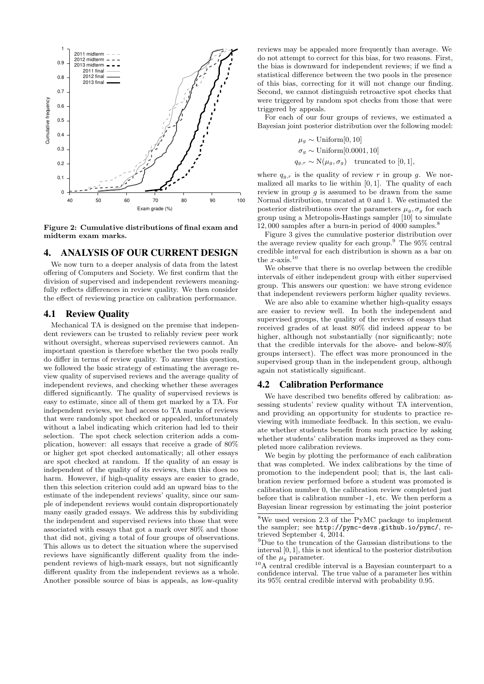

Figure 2: Cumulative distributions of final exam and midterm exam marks.

## 4. ANALYSIS OF OUR CURRENT DESIGN

We now turn to a deeper analysis of data from the latest offering of Computers and Society. We first confirm that the division of supervised and independent reviewers meaningfully reflects differences in review quality. We then consider the effect of reviewing practice on calibration performance.

## 4.1 Review Quality

Mechanical TA is designed on the premise that independent reviewers can be trusted to reliably review peer work without oversight, whereas supervised reviewers cannot. An important question is therefore whether the two pools really do differ in terms of review quality. To answer this question, we followed the basic strategy of estimating the average review quality of supervised reviews and the average quality of independent reviews, and checking whether these averages differed significantly. The quality of supervised reviews is easy to estimate, since all of them get marked by a TA. For independent reviews, we had access to TA marks of reviews that were randomly spot checked or appealed, unfortunately without a label indicating which criterion had led to their selection. The spot check selection criterion adds a complication, however: all essays that receive a grade of 80% or higher get spot checked automatically; all other essays are spot checked at random. If the quality of an essay is independent of the quality of its reviews, then this does no harm. However, if high-quality essays are easier to grade, then this selection criterion could add an upward bias to the estimate of the independent reviews' quality, since our sample of independent reviews would contain disproportionately many easily graded essays. We address this by subdividing the independent and supervised reviews into those that were associated with essays that got a mark over 80% and those that did not, giving a total of four groups of observations. This allows us to detect the situation where the supervised reviews have significantly different quality from the independent reviews of high-mark essays, but not significantly different quality from the independent reviews as a whole. Another possible source of bias is appeals, as low-quality

reviews may be appealed more frequently than average. We do not attempt to correct for this bias, for two reasons. First, the bias is downward for independent reviews; if we find a statistical difference between the two pools in the presence of this bias, correcting for it will not change our finding. Second, we cannot distinguish retroactive spot checks that were triggered by random spot checks from those that were triggered by appeals.

For each of our four groups of reviews, we estimated a Bayesian joint posterior distribution over the following model:

$$
\mu_g \sim \text{Uniform}[0, 10]
$$
  
\n
$$
\sigma_g \sim \text{Uniform}[0.0001, 10]
$$
  
\n
$$
q_{g,r} \sim \text{N}(\mu_g, \sigma_g) \quad \text{truncated to } [0, 1],
$$

where  $q_{a,r}$  is the quality of review r in group g. We normalized all marks to lie within  $[0, 1]$ . The quality of each review in group  $q$  is assumed to be drawn from the same Normal distribution, truncated at 0 and 1. We estimated the posterior distributions over the parameters  $\mu_g$ ,  $\sigma_g$  for each group using a Metropolis-Hastings sampler [10] to simulate 12,000 samples after a burn-in period of  $4000$  samples.<sup>8</sup>

Figure 3 gives the cumulative posterior distribution over the average review quality for each group.<sup>9</sup> The  $95\%$  central credible interval for each distribution is shown as a bar on the x-axis.<sup>10</sup>

We observe that there is no overlap between the credible intervals of either independent group with either supervised group. This answers our question: we have strong evidence that independent reviewers perform higher quality reviews.

We are also able to examine whether high-quality essays are easier to review well. In both the independent and supervised groups, the quality of the reviews of essays that received grades of at least 80% did indeed appear to be higher, although not substantially (nor significantly; note that the credible intervals for the above- and below-80% groups intersect). The effect was more pronounced in the supervised group than in the independent group, although again not statistically significant.

#### 4.2 Calibration Performance

We have described two benefits offered by calibration: assessing students' review quality without TA intervention, and providing an opportunity for students to practice reviewing with immediate feedback. In this section, we evaluate whether students benefit from such practice by asking whether students' calibration marks improved as they completed more calibration reviews.

We begin by plotting the performance of each calibration that was completed. We index calibrations by the time of promotion to the independent pool; that is, the last calibration review performed before a student was promoted is calibration number 0, the calibration review completed just before that is calibration number -1, etc. We then perform a Bayesian linear regression by estimating the joint posterior

 $8\%$  we used version 2.3 of the PyMC package to implement the sampler; see http://pymc-devs.github.io/pymc/, retrieved September 4, 2014.

<sup>9</sup>Due to the truncation of the Gaussian distributions to the interval [0, 1], this is not identical to the posterior distribution of the  $\mu_q$  parameter.

<sup>10</sup>A central credible interval is a Bayesian counterpart to a confidence interval. The true value of a parameter lies within its 95% central credible interval with probability 0.95.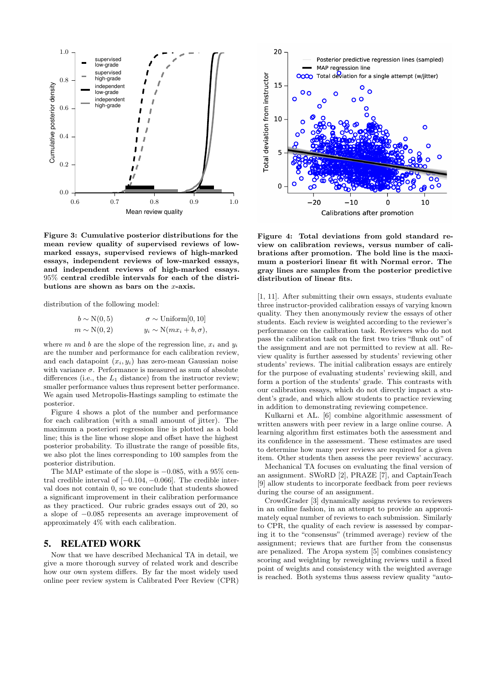

Figure 3: Cumulative posterior distributions for the mean review quality of supervised reviews of lowmarked essays, supervised reviews of high-marked essays, independent reviews of low-marked essays, and independent reviews of high-marked essays. 95% central credible intervals for each of the distributions are shown as bars on the x-axis.

distribution of the following model:

$$
b \sim N(0, 5) \qquad \qquad \sigma \sim \text{Uniform}[0, 10]
$$
  

$$
m \sim N(0, 2) \qquad y_i \sim N(mx_i + b, \sigma),
$$

where m and b are the slope of the regression line,  $x_i$  and  $y_i$ are the number and performance for each calibration review, and each datapoint  $(x_i, y_i)$  has zero-mean Gaussian noise with variance  $\sigma$ . Performance is measured as sum of absolute differences (i.e., the  $L_1$  distance) from the instructor review; smaller performance values thus represent better performance. We again used Metropolis-Hastings sampling to estimate the posterior.

Figure 4 shows a plot of the number and performance for each calibration (with a small amount of jitter). The maximum a posteriori regression line is plotted as a bold line; this is the line whose slope and offset have the highest posterior probability. To illustrate the range of possible fits, we also plot the lines corresponding to 100 samples from the posterior distribution.

The MAP estimate of the slope is −0.085, with a 95% central credible interval of [−0.104, −0.066]. The credible interval does not contain 0, so we conclude that students showed a significant improvement in their calibration performance as they practiced. Our rubric grades essays out of 20, so a slope of −0.085 represents an average improvement of approximately 4% with each calibration.

#### 5. RELATED WORK

Now that we have described Mechanical TA in detail, we give a more thorough survey of related work and describe how our own system differs. By far the most widely used online peer review system is Calibrated Peer Review (CPR)



Figure 4: Total deviations from gold standard review on calibration reviews, versus number of calibrations after promotion. The bold line is the maximum a posteriori linear fit with Normal error. The gray lines are samples from the posterior predictive distribution of linear fits.

[1, 11]. After submitting their own essays, students evaluate three instructor-provided calibration essays of varying known quality. They then anonymously review the essays of other students. Each review is weighted according to the reviewer's performance on the calibration task. Reviewers who do not pass the calibration task on the first two tries "flunk out" of the assignment and are not permitted to review at all. Review quality is further assessed by students' reviewing other students' reviews. The initial calibration essays are entirely for the purpose of evaluating students' reviewing skill, and form a portion of the students' grade. This contrasts with our calibration essays, which do not directly impact a student's grade, and which allow students to practice reviewing in addition to demonstrating reviewing competence.

Kulkarni et AL. [6] combine algorithmic assessment of written answers with peer review in a large online course. A learning algorithm first estimates both the assessment and its confidence in the assessment. These estimates are used to determine how many peer reviews are required for a given item. Other students then assess the peer reviews' accuracy.

Mechanical TA focuses on evaluating the final version of an assignment. SWoRD [2], PRAZE [7], and CaptainTeach [9] allow students to incorporate feedback from peer reviews during the course of an assignment.

CrowdGrader [3] dynamically assigns reviews to reviewers in an online fashion, in an attempt to provide an approximately equal number of reviews to each submission. Similarly to CPR, the quality of each review is assessed by comparing it to the "consensus" (trimmed average) review of the assignment; reviews that are further from the consensus are penalized. The Aropa system [5] combines consistency scoring and weighting by reweighting reviews until a fixed point of weights and consistency with the weighted average is reached. Both systems thus assess review quality "auto